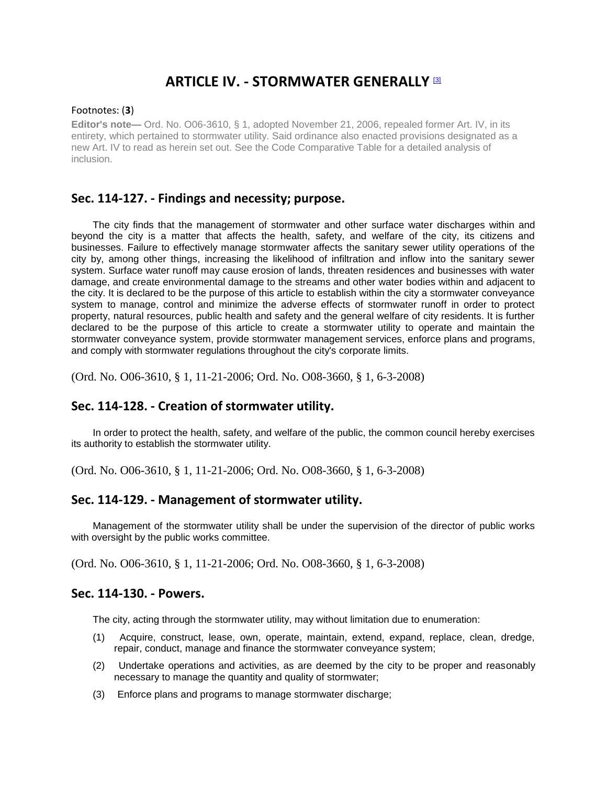# **ARTICLE IV. - STORMWATER GENERALLY [3]**

#### Footnotes: (**3**)

**Editor's note—** Ord. No. O06-3610, § 1, adopted November 21, 2006, repealed former Art. IV, in its entirety, which pertained to stormwater utility. Said ordinance also enacted provisions designated as a new Art. IV to read as herein set out. See the Code Comparative Table for a detailed analysis of inclusion.

## **Sec. 114-127. - Findings and necessity; purpose.**

The city finds that the management of stormwater and other surface water discharges within and beyond the city is a matter that affects the health, safety, and welfare of the city, its citizens and businesses. Failure to effectively manage stormwater affects the sanitary sewer utility operations of the city by, among other things, increasing the likelihood of infiltration and inflow into the sanitary sewer system. Surface water runoff may cause erosion of lands, threaten residences and businesses with water damage, and create environmental damage to the streams and other water bodies within and adjacent to the city. It is declared to be the purpose of this article to establish within the city a stormwater conveyance system to manage, control and minimize the adverse effects of stormwater runoff in order to protect property, natural resources, public health and safety and the general welfare of city residents. It is further declared to be the purpose of this article to create a stormwater utility to operate and maintain the stormwater conveyance system, provide stormwater management services, enforce plans and programs, and comply with stormwater regulations throughout the city's corporate limits.

(Ord. No. O06-3610, § 1, 11-21-2006; Ord. No. O08-3660, § 1, 6-3-2008)

## **Sec. 114-128. - Creation of stormwater utility.**

In order to protect the health, safety, and welfare of the public, the common council hereby exercises its authority to establish the stormwater utility.

(Ord. No. O06-3610, § 1, 11-21-2006; Ord. No. O08-3660, § 1, 6-3-2008)

#### **Sec. 114-129. - Management of stormwater utility.**

Management of the stormwater utility shall be under the supervision of the director of public works with oversight by the public works committee.

(Ord. No. O06-3610, § 1, 11-21-2006; Ord. No. O08-3660, § 1, 6-3-2008)

#### **Sec. 114-130. - Powers.**

The city, acting through the stormwater utility, may without limitation due to enumeration:

- (1) Acquire, construct, lease, own, operate, maintain, extend, expand, replace, clean, dredge, repair, conduct, manage and finance the stormwater conveyance system;
- (2) Undertake operations and activities, as are deemed by the city to be proper and reasonably necessary to manage the quantity and quality of stormwater;
- (3) Enforce plans and programs to manage stormwater discharge;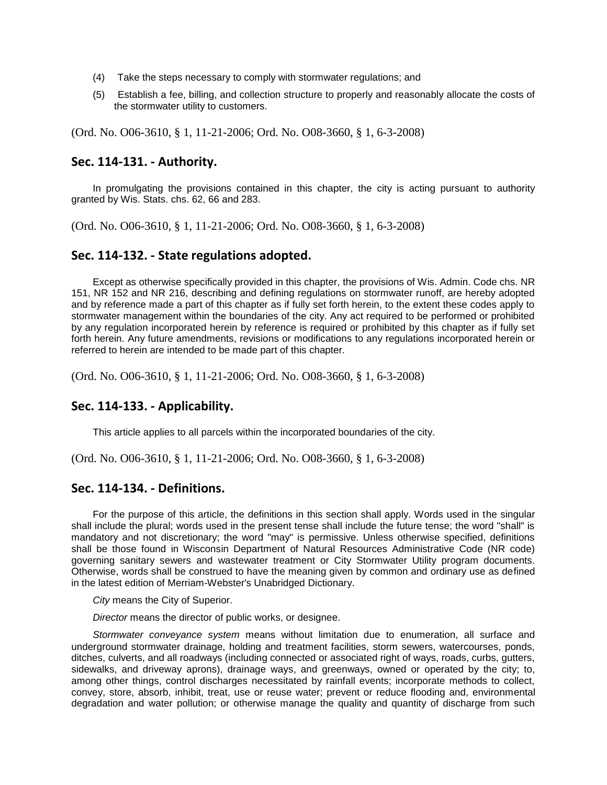- (4) Take the steps necessary to comply with stormwater regulations; and
- (5) Establish a fee, billing, and collection structure to properly and reasonably allocate the costs of the stormwater utility to customers.

(Ord. No. O06-3610, § 1, 11-21-2006; Ord. No. O08-3660, § 1, 6-3-2008)

#### **Sec. 114-131. - Authority.**

In promulgating the provisions contained in this chapter, the city is acting pursuant to authority granted by Wis. Stats. chs. 62, 66 and 283.

(Ord. No. O06-3610, § 1, 11-21-2006; Ord. No. O08-3660, § 1, 6-3-2008)

## **Sec. 114-132. - State regulations adopted.**

Except as otherwise specifically provided in this chapter, the provisions of Wis. Admin. Code chs. NR 151, NR 152 and NR 216, describing and defining regulations on stormwater runoff, are hereby adopted and by reference made a part of this chapter as if fully set forth herein, to the extent these codes apply to stormwater management within the boundaries of the city. Any act required to be performed or prohibited by any regulation incorporated herein by reference is required or prohibited by this chapter as if fully set forth herein. Any future amendments, revisions or modifications to any regulations incorporated herein or referred to herein are intended to be made part of this chapter.

(Ord. No. O06-3610, § 1, 11-21-2006; Ord. No. O08-3660, § 1, 6-3-2008)

#### **Sec. 114-133. - Applicability.**

This article applies to all parcels within the incorporated boundaries of the city.

(Ord. No. O06-3610, § 1, 11-21-2006; Ord. No. O08-3660, § 1, 6-3-2008)

#### **Sec. 114-134. - Definitions.**

For the purpose of this article, the definitions in this section shall apply. Words used in the singular shall include the plural; words used in the present tense shall include the future tense; the word "shall" is mandatory and not discretionary; the word "may" is permissive. Unless otherwise specified, definitions shall be those found in Wisconsin Department of Natural Resources Administrative Code (NR code) governing sanitary sewers and wastewater treatment or City Stormwater Utility program documents. Otherwise, words shall be construed to have the meaning given by common and ordinary use as defined in the latest edition of Merriam-Webster's Unabridged Dictionary.

*City* means the City of Superior.

*Director* means the director of public works, or designee.

*Stormwater conveyance system* means without limitation due to enumeration, all surface and underground stormwater drainage, holding and treatment facilities, storm sewers, watercourses, ponds, ditches, culverts, and all roadways (including connected or associated right of ways, roads, curbs, gutters, sidewalks, and driveway aprons), drainage ways, and greenways, owned or operated by the city; to, among other things, control discharges necessitated by rainfall events; incorporate methods to collect, convey, store, absorb, inhibit, treat, use or reuse water; prevent or reduce flooding and, environmental degradation and water pollution; or otherwise manage the quality and quantity of discharge from such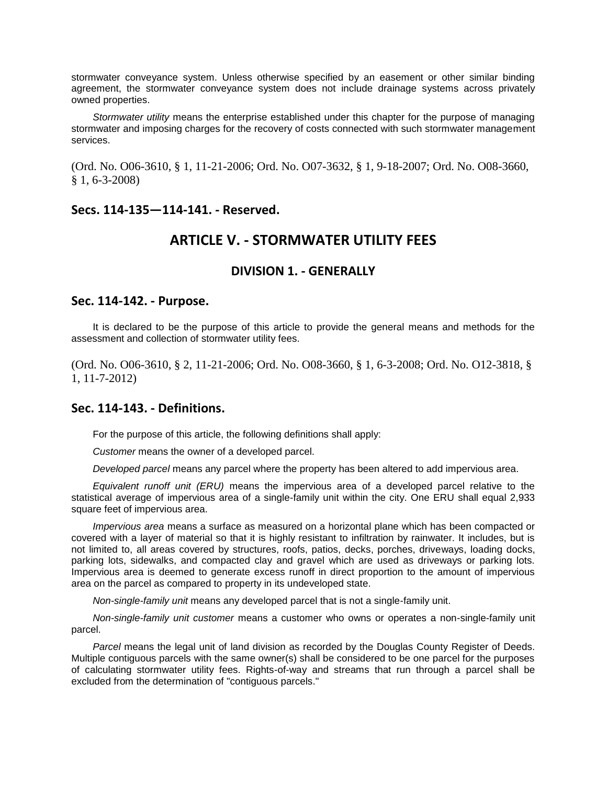stormwater conveyance system. Unless otherwise specified by an easement or other similar binding agreement, the stormwater conveyance system does not include drainage systems across privately owned properties.

*Stormwater utility* means the enterprise established under this chapter for the purpose of managing stormwater and imposing charges for the recovery of costs connected with such stormwater management services.

(Ord. No. O06-3610, § 1, 11-21-2006; Ord. No. O07-3632, § 1, 9-18-2007; Ord. No. O08-3660, § 1, 6-3-2008)

#### **Secs. 114-135—114-141. - Reserved.**

# **ARTICLE V. - STORMWATER UTILITY FEES**

## **DIVISION 1. - GENERALLY**

#### **Sec. 114-142. - Purpose.**

It is declared to be the purpose of this article to provide the general means and methods for the assessment and collection of stormwater utility fees.

(Ord. No. O06-3610, § 2, 11-21-2006; Ord. No. O08-3660, § 1, 6-3-2008; Ord. No. O12-3818, § 1, 11-7-2012)

#### **Sec. 114-143. - Definitions.**

For the purpose of this article, the following definitions shall apply:

*Customer* means the owner of a developed parcel.

*Developed parcel* means any parcel where the property has been altered to add impervious area.

*Equivalent runoff unit (ERU)* means the impervious area of a developed parcel relative to the statistical average of impervious area of a single-family unit within the city. One ERU shall equal 2,933 square feet of impervious area.

*Impervious area* means a surface as measured on a horizontal plane which has been compacted or covered with a layer of material so that it is highly resistant to infiltration by rainwater. It includes, but is not limited to, all areas covered by structures, roofs, patios, decks, porches, driveways, loading docks, parking lots, sidewalks, and compacted clay and gravel which are used as driveways or parking lots. Impervious area is deemed to generate excess runoff in direct proportion to the amount of impervious area on the parcel as compared to property in its undeveloped state.

*Non-single-family unit* means any developed parcel that is not a single-family unit.

*Non-single-family unit customer* means a customer who owns or operates a non-single-family unit parcel.

*Parcel* means the legal unit of land division as recorded by the Douglas County Register of Deeds. Multiple contiguous parcels with the same owner(s) shall be considered to be one parcel for the purposes of calculating stormwater utility fees. Rights-of-way and streams that run through a parcel shall be excluded from the determination of "contiguous parcels."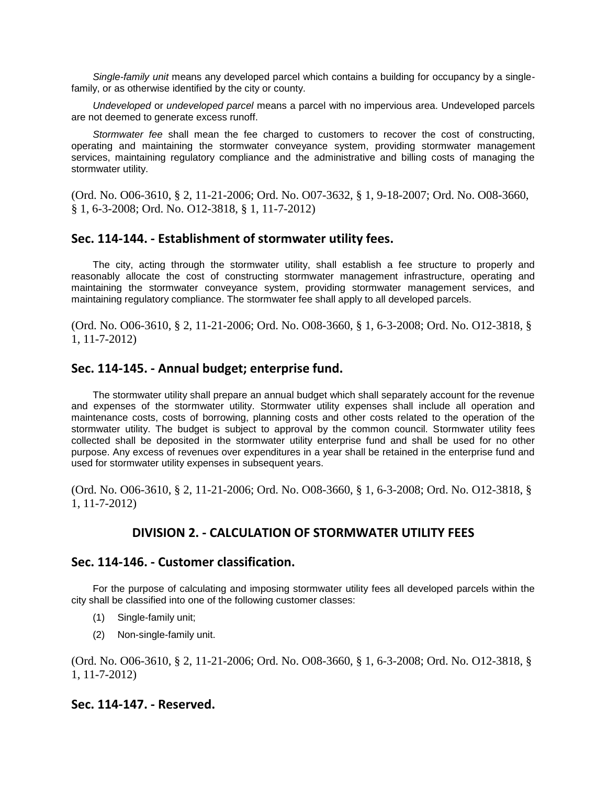*Single-family unit* means any developed parcel which contains a building for occupancy by a singlefamily, or as otherwise identified by the city or county.

*Undeveloped* or *undeveloped parcel* means a parcel with no impervious area. Undeveloped parcels are not deemed to generate excess runoff.

*Stormwater fee* shall mean the fee charged to customers to recover the cost of constructing, operating and maintaining the stormwater conveyance system, providing stormwater management services, maintaining regulatory compliance and the administrative and billing costs of managing the stormwater utility.

(Ord. No. O06-3610, § 2, 11-21-2006; Ord. No. O07-3632, § 1, 9-18-2007; Ord. No. O08-3660, § 1, 6-3-2008; Ord. No. O12-3818, § 1, 11-7-2012)

#### **Sec. 114-144. - Establishment of stormwater utility fees.**

The city, acting through the stormwater utility, shall establish a fee structure to properly and reasonably allocate the cost of constructing stormwater management infrastructure, operating and maintaining the stormwater conveyance system, providing stormwater management services, and maintaining regulatory compliance. The stormwater fee shall apply to all developed parcels.

(Ord. No. O06-3610, § 2, 11-21-2006; Ord. No. O08-3660, § 1, 6-3-2008; Ord. No. O12-3818, § 1, 11-7-2012)

#### **Sec. 114-145. - Annual budget; enterprise fund.**

The stormwater utility shall prepare an annual budget which shall separately account for the revenue and expenses of the stormwater utility. Stormwater utility expenses shall include all operation and maintenance costs, costs of borrowing, planning costs and other costs related to the operation of the stormwater utility. The budget is subject to approval by the common council. Stormwater utility fees collected shall be deposited in the stormwater utility enterprise fund and shall be used for no other purpose. Any excess of revenues over expenditures in a year shall be retained in the enterprise fund and used for stormwater utility expenses in subsequent years.

(Ord. No. O06-3610, § 2, 11-21-2006; Ord. No. O08-3660, § 1, 6-3-2008; Ord. No. O12-3818, § 1, 11-7-2012)

## **DIVISION 2. - CALCULATION OF STORMWATER UTILITY FEES**

#### **Sec. 114-146. - Customer classification.**

For the purpose of calculating and imposing stormwater utility fees all developed parcels within the city shall be classified into one of the following customer classes:

- (1) Single-family unit;
- (2) Non-single-family unit.

(Ord. No. O06-3610, § 2, 11-21-2006; Ord. No. O08-3660, § 1, 6-3-2008; Ord. No. O12-3818, § 1, 11-7-2012)

#### **Sec. 114-147. - Reserved.**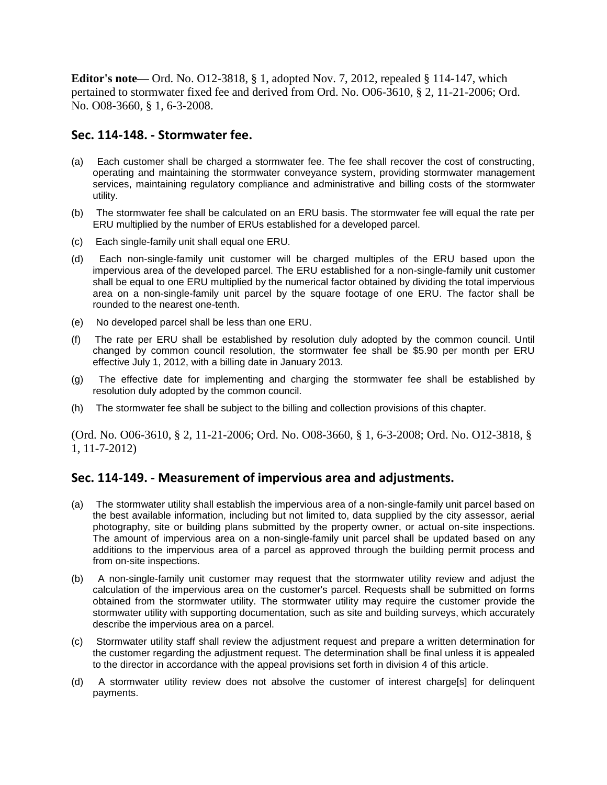**Editor's note—** Ord. No. O12-3818, § 1, adopted Nov. 7, 2012, repealed § 114-147, which pertained to stormwater fixed fee and derived from Ord. No. O06-3610, § 2, 11-21-2006; Ord. No. O08-3660, § 1, 6-3-2008.

# **Sec. 114-148. - Stormwater fee.**

- (a) Each customer shall be charged a stormwater fee. The fee shall recover the cost of constructing, operating and maintaining the stormwater conveyance system, providing stormwater management services, maintaining regulatory compliance and administrative and billing costs of the stormwater utility.
- (b) The stormwater fee shall be calculated on an ERU basis. The stormwater fee will equal the rate per ERU multiplied by the number of ERUs established for a developed parcel.
- (c) Each single-family unit shall equal one ERU.
- (d) Each non-single-family unit customer will be charged multiples of the ERU based upon the impervious area of the developed parcel. The ERU established for a non-single-family unit customer shall be equal to one ERU multiplied by the numerical factor obtained by dividing the total impervious area on a non-single-family unit parcel by the square footage of one ERU. The factor shall be rounded to the nearest one-tenth.
- (e) No developed parcel shall be less than one ERU.
- (f) The rate per ERU shall be established by resolution duly adopted by the common council. Until changed by common council resolution, the stormwater fee shall be \$5.90 per month per ERU effective July 1, 2012, with a billing date in January 2013.
- (g) The effective date for implementing and charging the stormwater fee shall be established by resolution duly adopted by the common council.
- (h) The stormwater fee shall be subject to the billing and collection provisions of this chapter.

(Ord. No. O06-3610, § 2, 11-21-2006; Ord. No. O08-3660, § 1, 6-3-2008; Ord. No. O12-3818, § 1, 11-7-2012)

# **Sec. 114-149. - Measurement of impervious area and adjustments.**

- (a) The stormwater utility shall establish the impervious area of a non-single-family unit parcel based on the best available information, including but not limited to, data supplied by the city assessor, aerial photography, site or building plans submitted by the property owner, or actual on-site inspections. The amount of impervious area on a non-single-family unit parcel shall be updated based on any additions to the impervious area of a parcel as approved through the building permit process and from on-site inspections.
- (b) A non-single-family unit customer may request that the stormwater utility review and adjust the calculation of the impervious area on the customer's parcel. Requests shall be submitted on forms obtained from the stormwater utility. The stormwater utility may require the customer provide the stormwater utility with supporting documentation, such as site and building surveys, which accurately describe the impervious area on a parcel.
- (c) Stormwater utility staff shall review the adjustment request and prepare a written determination for the customer regarding the adjustment request. The determination shall be final unless it is appealed to the director in accordance with the appeal provisions set forth in division 4 of this article.
- (d) A stormwater utility review does not absolve the customer of interest charge[s] for delinquent payments.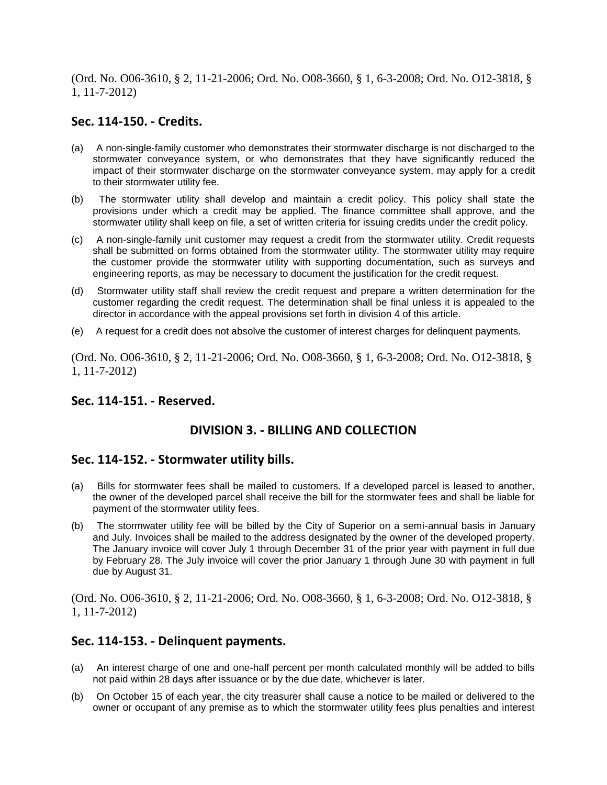(Ord. No. O06-3610, § 2, 11-21-2006; Ord. No. O08-3660, § 1, 6-3-2008; Ord. No. O12-3818, § 1, 11-7-2012)

## **Sec. 114-150. - Credits.**

- (a) A non-single-family customer who demonstrates their stormwater discharge is not discharged to the stormwater conveyance system, or who demonstrates that they have significantly reduced the impact of their stormwater discharge on the stormwater conveyance system, may apply for a credit to their stormwater utility fee.
- (b) The stormwater utility shall develop and maintain a credit policy. This policy shall state the provisions under which a credit may be applied. The finance committee shall approve, and the stormwater utility shall keep on file, a set of written criteria for issuing credits under the credit policy.
- (c) A non-single-family unit customer may request a credit from the stormwater utility. Credit requests shall be submitted on forms obtained from the stormwater utility. The stormwater utility may require the customer provide the stormwater utility with supporting documentation, such as surveys and engineering reports, as may be necessary to document the justification for the credit request.
- (d) Stormwater utility staff shall review the credit request and prepare a written determination for the customer regarding the credit request. The determination shall be final unless it is appealed to the director in accordance with the appeal provisions set forth in division 4 of this article.
- (e) A request for a credit does not absolve the customer of interest charges for delinquent payments.

(Ord. No. O06-3610, § 2, 11-21-2006; Ord. No. O08-3660, § 1, 6-3-2008; Ord. No. O12-3818, § 1, 11-7-2012)

## **Sec. 114-151. - Reserved.**

## **DIVISION 3. - BILLING AND COLLECTION**

#### **Sec. 114-152. - Stormwater utility bills.**

- (a) Bills for stormwater fees shall be mailed to customers. If a developed parcel is leased to another, the owner of the developed parcel shall receive the bill for the stormwater fees and shall be liable for payment of the stormwater utility fees.
- (b) The stormwater utility fee will be billed by the City of Superior on a semi-annual basis in January and July. Invoices shall be mailed to the address designated by the owner of the developed property. The January invoice will cover July 1 through December 31 of the prior year with payment in full due by February 28. The July invoice will cover the prior January 1 through June 30 with payment in full due by August 31.

(Ord. No. O06-3610, § 2, 11-21-2006; Ord. No. O08-3660, § 1, 6-3-2008; Ord. No. O12-3818, § 1, 11-7-2012)

## **Sec. 114-153. - Delinquent payments.**

- (a) An interest charge of one and one-half percent per month calculated monthly will be added to bills not paid within 28 days after issuance or by the due date, whichever is later.
- (b) On October 15 of each year, the city treasurer shall cause a notice to be mailed or delivered to the owner or occupant of any premise as to which the stormwater utility fees plus penalties and interest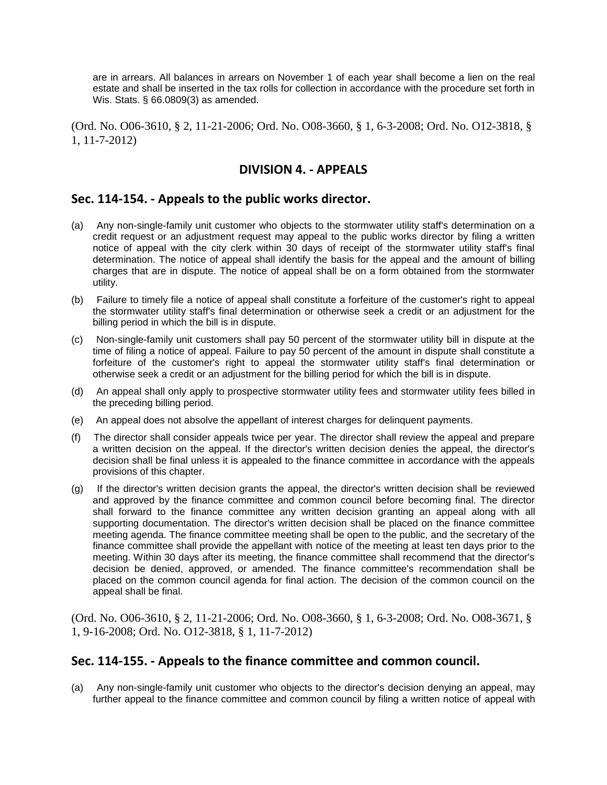are in arrears. All balances in arrears on November 1 of each year shall become a lien on the real estate and shall be inserted in the tax rolls for collection in accordance with the procedure set forth in Wis. Stats. § 66.0809(3) as amended.

(Ord. No. O06-3610, § 2, 11-21-2006; Ord. No. O08-3660, § 1, 6-3-2008; Ord. No. O12-3818, § 1, 11-7-2012)

# **DIVISION 4. - APPEALS**

# **Sec. 114-154. - Appeals to the public works director.**

- (a) Any non-single-family unit customer who objects to the stormwater utility staff's determination on a credit request or an adjustment request may appeal to the public works director by filing a written notice of appeal with the city clerk within 30 days of receipt of the stormwater utility staff's final determination. The notice of appeal shall identify the basis for the appeal and the amount of billing charges that are in dispute. The notice of appeal shall be on a form obtained from the stormwater utility.
- (b) Failure to timely file a notice of appeal shall constitute a forfeiture of the customer's right to appeal the stormwater utility staff's final determination or otherwise seek a credit or an adjustment for the billing period in which the bill is in dispute.
- (c) Non-single-family unit customers shall pay 50 percent of the stormwater utility bill in dispute at the time of filing a notice of appeal. Failure to pay 50 percent of the amount in dispute shall constitute a forfeiture of the customer's right to appeal the stormwater utility staff's final determination or otherwise seek a credit or an adjustment for the billing period for which the bill is in dispute.
- (d) An appeal shall only apply to prospective stormwater utility fees and stormwater utility fees billed in the preceding billing period.
- (e) An appeal does not absolve the appellant of interest charges for delinquent payments.
- (f) The director shall consider appeals twice per year. The director shall review the appeal and prepare a written decision on the appeal. If the director's written decision denies the appeal, the director's decision shall be final unless it is appealed to the finance committee in accordance with the appeals provisions of this chapter.
- (g) If the director's written decision grants the appeal, the director's written decision shall be reviewed and approved by the finance committee and common council before becoming final. The director shall forward to the finance committee any written decision granting an appeal along with all supporting documentation. The director's written decision shall be placed on the finance committee meeting agenda. The finance committee meeting shall be open to the public, and the secretary of the finance committee shall provide the appellant with notice of the meeting at least ten days prior to the meeting. Within 30 days after its meeting, the finance committee shall recommend that the director's decision be denied, approved, or amended. The finance committee's recommendation shall be placed on the common council agenda for final action. The decision of the common council on the appeal shall be final.

(Ord. No. O06-3610, § 2, 11-21-2006; Ord. No. O08-3660, § 1, 6-3-2008; Ord. No. O08-3671, § 1, 9-16-2008; Ord. No. O12-3818, § 1, 11-7-2012)

## **Sec. 114-155. - Appeals to the finance committee and common council.**

(a) Any non-single-family unit customer who objects to the director's decision denying an appeal, may further appeal to the finance committee and common council by filing a written notice of appeal with